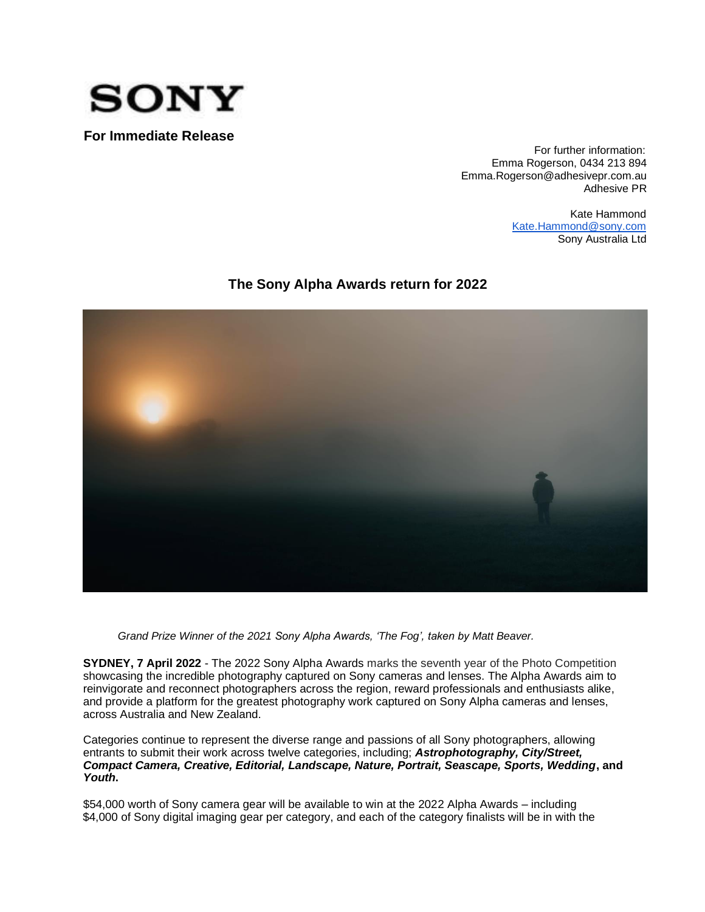

**For Immediate Release** 

For further information: Emma Rogerson, 0434 213 894 Emma.Rogerson@adhesivepr.com.au Adhesive PR

> Kate Hammond Kate.Hammond@sony.com Sony Australia Ltd

# **The Sony Alpha Awards return for 2022**



*Grand Prize Winner of the 2021 Sony Alpha Awards, 'The Fog', taken by Matt Beaver.*

**SYDNEY, 7 April 2022** - The 2022 Sony Alpha Awards marks the seventh year of the Photo Competition showcasing the incredible photography captured on Sony cameras and lenses. The Alpha Awards aim to reinvigorate and reconnect photographers across the region, reward professionals and enthusiasts alike, and provide a platform for the greatest photography work captured on Sony Alpha cameras and lenses, across Australia and New Zealand.

Categories continue to represent the diverse range and passions of all Sony photographers, allowing entrants to submit their work across twelve categories, including; *Astrophotography, City/Street, Compact Camera, Creative, Editorial, Landscape, Nature, Portrait, Seascape, Sports, Wedding***, and**  *Youth***.** 

\$54,000 worth of Sony camera gear will be available to win at the 2022 Alpha Awards – including \$4,000 of Sony digital imaging gear per category, and each of the category finalists will be in with the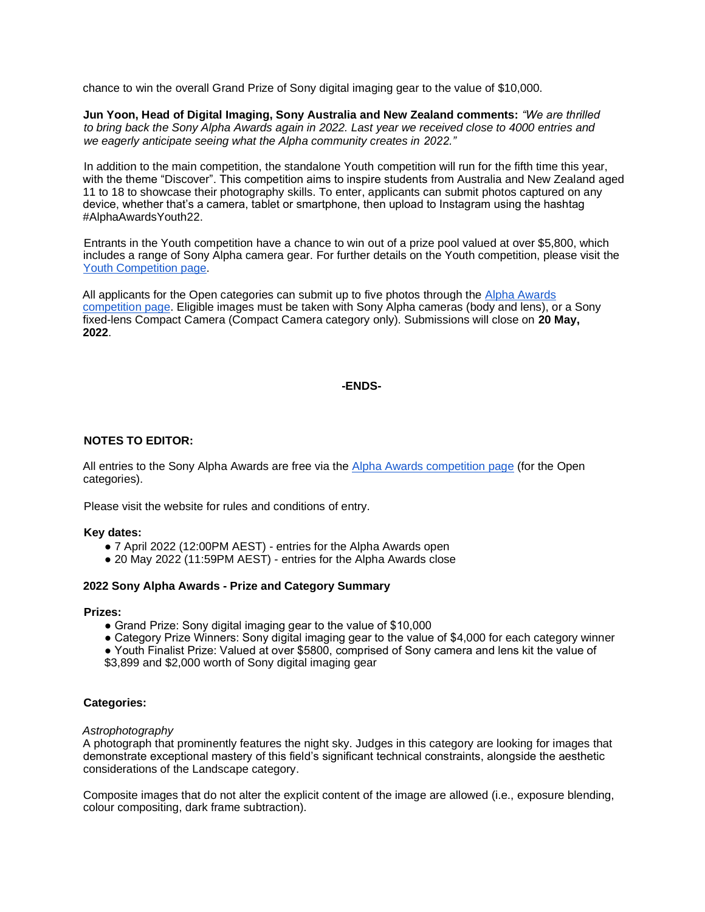chance to win the overall Grand Prize of Sony digital imaging gear to the value of \$10,000.

**Jun Yoon, Head of Digital Imaging, Sony Australia and New Zealand comments:** *"We are thrilled to bring back the Sony Alpha Awards again in 2022. Last year we received close to 4000 entries and we eagerly anticipate seeing what the Alpha community creates in 2022."*

In addition to the main competition, the standalone Youth competition will run for the fifth time this vear. with the theme "Discover". This competition aims to inspire students from Australia and New Zealand aged 11 to 18 to showcase their photography skills. To enter, applicants can submit photos captured on any device, whether that's a camera, tablet or smartphone, then upload to Instagram using the hashtag #AlphaAwardsYouth22.

Entrants in the Youth competition have a chance to win out of a prize pool valued at over \$5,800, which includes a range of Sony Alpha camera gear. For further details on the Youth competition, please visit the [Youth Competition page.](http://scene.sonyanz.com/competitions/alpha-awards-youth-2022)

All applicants for the Open categories can submit up to five photos through the [Alpha Awards](https://scene.sonyanz.com/competitions/alpha-awards#alphaawards-about)  [competition page.](https://scene.sonyanz.com/competitions/alpha-awards#alphaawards-about) Eligible images must be taken with Sony Alpha cameras (body and lens), or a Sony fixed-lens Compact Camera (Compact Camera category only). Submissions will close on **20 May, 2022**.

# **-ENDS-**

# **NOTES TO EDITOR:**

All entries to the Sony Alpha Awards are free via the [Alpha Awards competition page](https://scene.sonyanz.com/competitions/alpha-awards#alphaawards-about) (for the Open categories).

Please visit the website for rules and conditions of entry.

# **Key dates:**

- 7 April 2022 (12:00PM AEST) entries for the Alpha Awards open
- 20 May 2022 (11:59PM AEST) entries for the Alpha Awards close

# **2022 Sony Alpha Awards - Prize and Category Summary**

# **Prizes:**

- Grand Prize: Sony digital imaging gear to the value of \$10,000
- Category Prize Winners: Sony digital imaging gear to the value of \$4,000 for each category winner

● Youth Finalist Prize: Valued at over \$5800, comprised of Sony camera and lens kit the value of \$3,899 and \$2,000 worth of Sony digital imaging gear

# **Categories:**

# *Astrophotography*

A photograph that prominently features the night sky. Judges in this category are looking for images that demonstrate exceptional mastery of this field's significant technical constraints, alongside the aesthetic considerations of the Landscape category.

Composite images that do not alter the explicit content of the image are allowed (i.e., exposure blending, colour compositing, dark frame subtraction).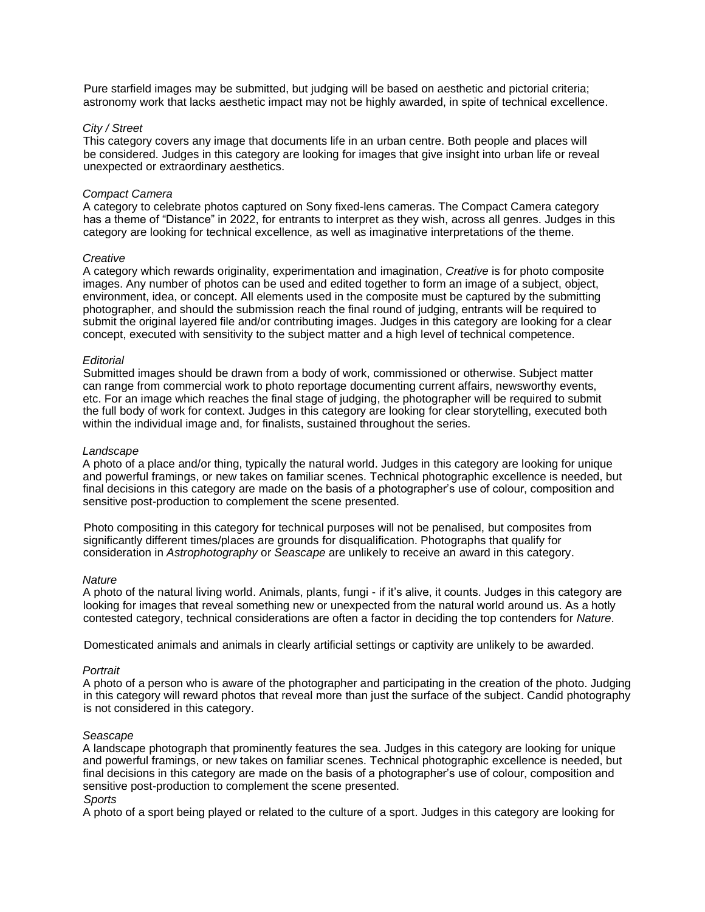Pure starfield images may be submitted, but judging will be based on aesthetic and pictorial criteria; astronomy work that lacks aesthetic impact may not be highly awarded, in spite of technical excellence.

# *City / Street*

This category covers any image that documents life in an urban centre. Both people and places will be considered. Judges in this category are looking for images that give insight into urban life or reveal unexpected or extraordinary aesthetics.

### *Compact Camera*

A category to celebrate photos captured on Sony fixed-lens cameras. The Compact Camera category has a theme of "Distance" in 2022, for entrants to interpret as they wish, across all genres. Judges in this category are looking for technical excellence, as well as imaginative interpretations of the theme.

#### *Creative*

A category which rewards originality, experimentation and imagination, *Creative* is for photo composite images. Any number of photos can be used and edited together to form an image of a subject, object, environment, idea, or concept. All elements used in the composite must be captured by the submitting photographer, and should the submission reach the final round of judging, entrants will be required to submit the original layered file and/or contributing images. Judges in this category are looking for a clear concept, executed with sensitivity to the subject matter and a high level of technical competence.

### *Editorial*

Submitted images should be drawn from a body of work, commissioned or otherwise. Subject matter can range from commercial work to photo reportage documenting current affairs, newsworthy events, etc. For an image which reaches the final stage of judging, the photographer will be required to submit the full body of work for context. Judges in this category are looking for clear storytelling, executed both within the individual image and, for finalists, sustained throughout the series.

### *Landscape*

A photo of a place and/or thing, typically the natural world. Judges in this category are looking for unique and powerful framings, or new takes on familiar scenes. Technical photographic excellence is needed, but final decisions in this category are made on the basis of a photographer's use of colour, composition and sensitive post-production to complement the scene presented.

Photo compositing in this category for technical purposes will not be penalised, but composites from significantly different times/places are grounds for disqualification. Photographs that qualify for consideration in *Astrophotography* or *Seascape* are unlikely to receive an award in this category.

#### *Nature*

A photo of the natural living world. Animals, plants, fungi - if it's alive, it counts. Judges in this category are looking for images that reveal something new or unexpected from the natural world around us. As a hotly contested category, technical considerations are often a factor in deciding the top contenders for *Nature*.

Domesticated animals and animals in clearly artificial settings or captivity are unlikely to be awarded.

#### *Portrait*

A photo of a person who is aware of the photographer and participating in the creation of the photo. Judging in this category will reward photos that reveal more than just the surface of the subject. Candid photography is not considered in this category.

#### *Seascape*

A landscape photograph that prominently features the sea. Judges in this category are looking for unique and powerful framings, or new takes on familiar scenes. Technical photographic excellence is needed, but final decisions in this category are made on the basis of a photographer's use of colour, composition and sensitive post-production to complement the scene presented. *Sports* 

A photo of a sport being played or related to the culture of a sport. Judges in this category are looking for